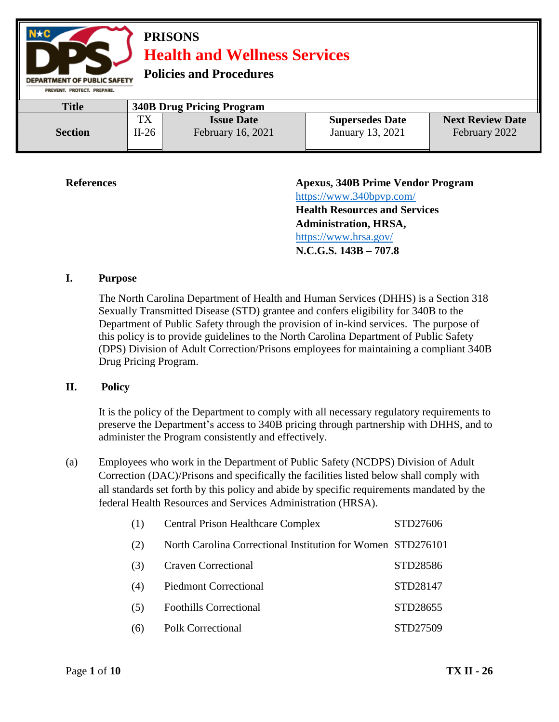

| <b>Title</b>   |         | <b>340B Drug Pricing Program</b> |                        |                         |
|----------------|---------|----------------------------------|------------------------|-------------------------|
|                | TX      | <b>Issue Date</b>                | <b>Supersedes Date</b> | <b>Next Review Date</b> |
| <b>Section</b> | $II-26$ | February 16, 2021                | January 13, 2021       | February 2022           |
|                |         |                                  |                        |                         |

**References Apexus, 340B Prime Vendor Program**  <https://www.340bpvp.com/> **Health Resources and Services Administration, HRSA,**  <https://www.hrsa.gov/> **N.C.G.S. 143B – 707.8**

#### **I. Purpose**

The North Carolina Department of Health and Human Services (DHHS) is a Section 318 Sexually Transmitted Disease (STD) grantee and confers eligibility for 340B to the Department of Public Safety through the provision of in-kind services. The purpose of this policy is to provide guidelines to the North Carolina Department of Public Safety (DPS) Division of Adult Correction/Prisons employees for maintaining a compliant 340B Drug Pricing Program.

#### **II. Policy**

It is the policy of the Department to comply with all necessary regulatory requirements to preserve the Department's access to 340B pricing through partnership with DHHS, and to administer the Program consistently and effectively.

(a) Employees who work in the Department of Public Safety (NCDPS) Division of Adult Correction (DAC)/Prisons and specifically the facilities listed below shall comply with all standards set forth by this policy and abide by specific requirements mandated by the federal Health Resources and Services Administration (HRSA).

| (1) | <b>Central Prison Healthcare Complex</b>                    | STD27606 |
|-----|-------------------------------------------------------------|----------|
| (2) | North Carolina Correctional Institution for Women STD276101 |          |
| (3) | <b>Craven Correctional</b>                                  | STD28586 |
| (4) | <b>Piedmont Correctional</b>                                | STD28147 |
| (5) | <b>Foothills Correctional</b>                               | STD28655 |
| (6) | <b>Polk Correctional</b>                                    | STD27509 |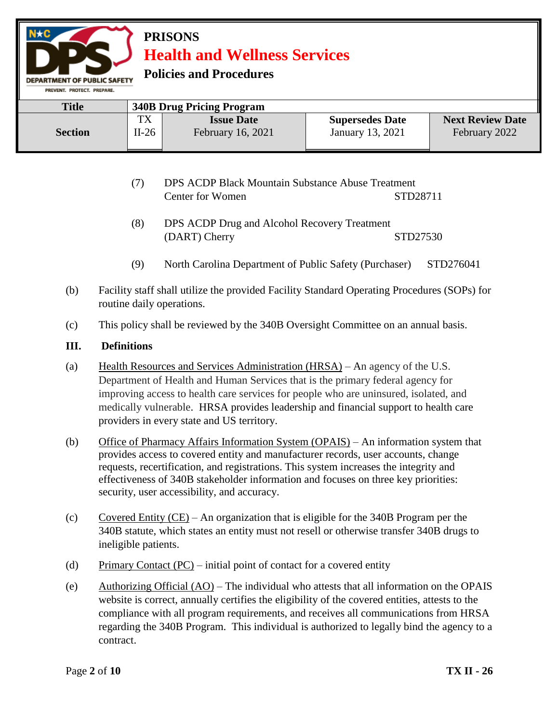**Policies and Procedures** 

| <b>Title</b>   |               | <b>340B Drug Pricing Program</b>              |                                            |                                          |
|----------------|---------------|-----------------------------------------------|--------------------------------------------|------------------------------------------|
| <b>Section</b> | TX<br>$II-26$ | <b>Issue Date</b><br><b>February 16, 2021</b> | <b>Supersedes Date</b><br>January 13, 2021 | <b>Next Review Date</b><br>February 2022 |
|                |               |                                               |                                            |                                          |

- (7) DPS ACDP Black Mountain Substance Abuse Treatment Center for Women STD28711
- (8) DPS ACDP Drug and Alcohol Recovery Treatment (DART) Cherry STD27530
- (9) North Carolina Department of Public Safety (Purchaser) STD276041
- (b) Facility staff shall utilize the provided Facility Standard Operating Procedures (SOPs) for routine daily operations.
- (c) This policy shall be reviewed by the 340B Oversight Committee on an annual basis.

#### **III. Definitions**

- (a) Health Resources and Services Administration (HRSA) An agency of the U.S. Department of Health and Human Services that is the primary federal agency for improving access to health care services for people who are uninsured, isolated, and medically vulnerable. HRSA provides leadership and financial support to health care providers in every state and US territory.
- (b) Office of Pharmacy Affairs Information System (OPAIS) An information system that provides access to covered entity and manufacturer records, user accounts, change requests, recertification, and registrations. This system increases the integrity and effectiveness of 340B stakeholder information and focuses on three key priorities: security, user accessibility, and accuracy.
- (c) Covered Entity (CE) An organization that is eligible for the 340B Program per the 340B statute, which states an entity must not resell or otherwise transfer 340B drugs to ineligible patients.
- (d) Primary Contact  $(PC)$  initial point of contact for a covered entity
- (e)  $\Delta$ uthorizing Official (AO) The individual who attests that all information on the OPAIS website is correct, annually certifies the eligibility of the covered entities, attests to the compliance with all program requirements, and receives all communications from HRSA regarding the 340B Program. This individual is authorized to legally bind the agency to a contract.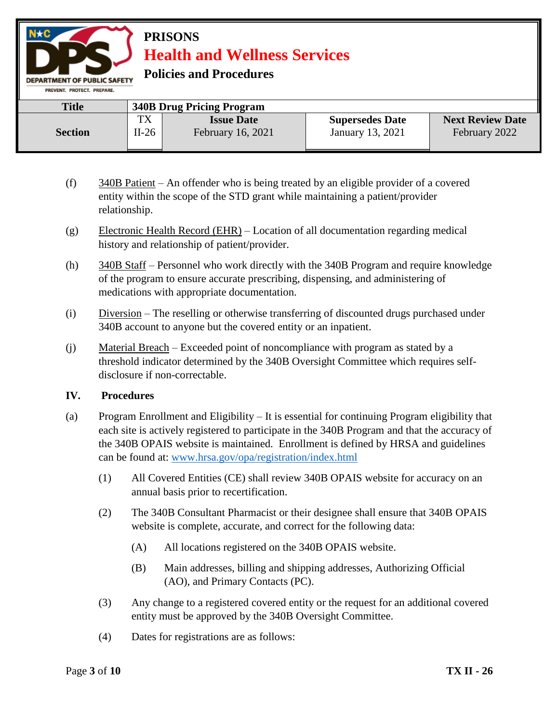**Policies and Procedures** 

| PREVENT, PROTECT, PREPARE, |         |                                  |                        |                         |
|----------------------------|---------|----------------------------------|------------------------|-------------------------|
| <b>Title</b>               |         | <b>340B Drug Pricing Program</b> |                        |                         |
|                            | TX      | <b>Issue Date</b>                | <b>Supersedes Date</b> | <b>Next Review Date</b> |
| <b>Section</b>             | $II-26$ | February 16, 2021                | January 13, 2021       | February 2022           |
|                            |         |                                  |                        |                         |

- (f) 340B Patient An offender who is being treated by an eligible provider of a covered entity within the scope of the STD grant while maintaining a patient/provider relationship.
- (g) Electronic Health Record (EHR) Location of all documentation regarding medical history and relationship of patient/provider.
- (h) 340B Staff Personnel who work directly with the 340B Program and require knowledge of the program to ensure accurate prescribing, dispensing, and administering of medications with appropriate documentation.
- (i) Diversion The reselling or otherwise transferring of discounted drugs purchased under 340B account to anyone but the covered entity or an inpatient.
- (j) Material Breach Exceeded point of noncompliance with program as stated by a threshold indicator determined by the 340B Oversight Committee which requires selfdisclosure if non-correctable.

#### **IV. Procedures**

- (a) Program Enrollment and Eligibility It is essential for continuing Program eligibility that each site is actively registered to participate in the 340B Program and that the accuracy of the 340B OPAIS website is maintained. Enrollment is defined by HRSA and guidelines can be found at: [www.hrsa.gov/opa/registration/index.html](http://www.hrsa.gov/opa/registration/index.html) 
	- (1) All Covered Entities (CE) shall review 340B OPAIS website for accuracy on an annual basis prior to recertification.
	- (2) The 340B Consultant Pharmacist or their designee shall ensure that 340B OPAIS website is complete, accurate, and correct for the following data:
		- (A) All locations registered on the 340B OPAIS website.
		- (B) Main addresses, billing and shipping addresses, Authorizing Official (AO), and Primary Contacts (PC).
	- (3) Any change to a registered covered entity or the request for an additional covered entity must be approved by the 340B Oversight Committee.
	- (4) Dates for registrations are as follows: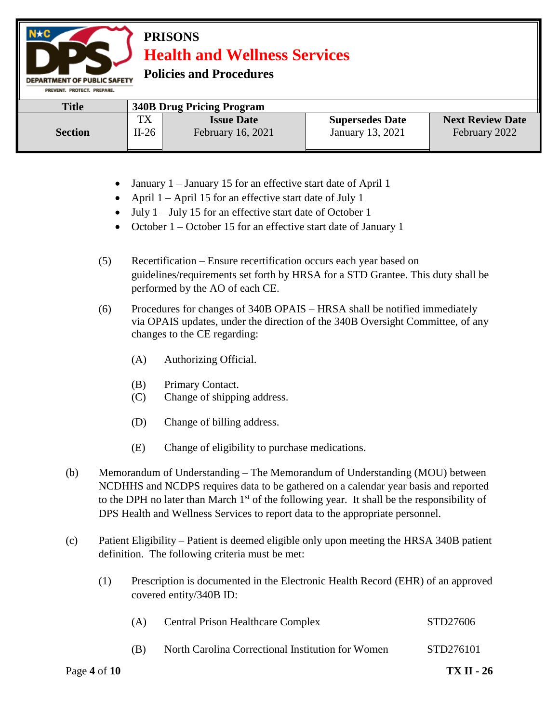**Policies and Procedures** 

| PREVENT, PROTECT, PREPARE, |         |                                  |                        |                         |
|----------------------------|---------|----------------------------------|------------------------|-------------------------|
| <b>Title</b>               |         | <b>340B Drug Pricing Program</b> |                        |                         |
|                            | тv      | <b>Issue Date</b>                | <b>Supersedes Date</b> | <b>Next Review Date</b> |
| <b>Section</b>             | $II-26$ | <b>February 16, 2021</b>         | January 13, 2021       | February 2022           |

- January 1 January 15 for an effective start date of April 1
- April  $1 -$ April 15 for an effective start date of July 1
- $\bullet$  July 1 July 15 for an effective start date of October 1
- October 1 October 15 for an effective start date of January 1
- (5) Recertification Ensure recertification occurs each year based on guidelines/requirements set forth by HRSA for a STD Grantee. This duty shall be performed by the AO of each CE.
- (6) Procedures for changes of 340B OPAIS HRSA shall be notified immediately via OPAIS updates, under the direction of the 340B Oversight Committee, of any changes to the CE regarding:
	- (A) Authorizing Official.
	- (B) Primary Contact.
	- (C) Change of shipping address.
	- (D) Change of billing address.
	- (E) Change of eligibility to purchase medications.
- (b) Memorandum of Understanding The Memorandum of Understanding (MOU) between NCDHHS and NCDPS requires data to be gathered on a calendar year basis and reported to the DPH no later than March  $1<sup>st</sup>$  of the following year. It shall be the responsibility of DPS Health and Wellness Services to report data to the appropriate personnel.
- (c) Patient Eligibility Patient is deemed eligible only upon meeting the HRSA 340B patient definition. The following criteria must be met:
	- (1) Prescription is documented in the Electronic Health Record (EHR) of an approved covered entity/340B ID:

| Page 4 of $10$ |     |                                                   | <b>TX II - 26</b> |
|----------------|-----|---------------------------------------------------|-------------------|
|                | (B) | North Carolina Correctional Institution for Women | STD276101         |
|                | (A) | <b>Central Prison Healthcare Complex</b>          | STD27606          |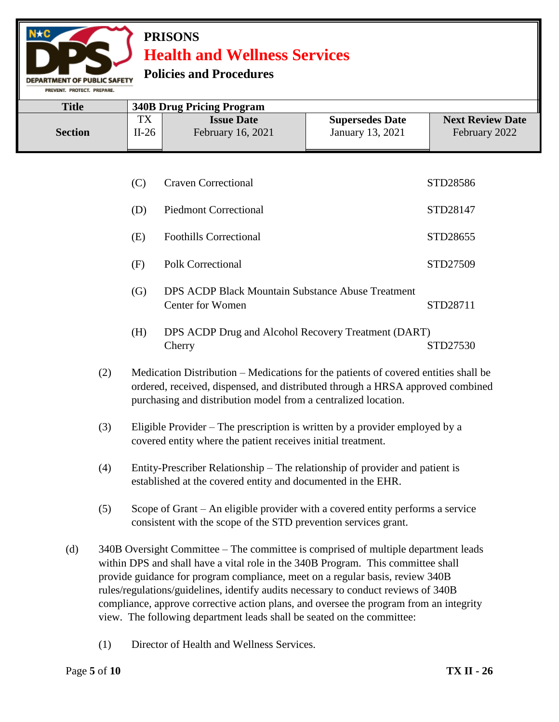#### **Policies and Procedures**

DEPARTMENT OF PUBLIC SAFETY PREVENT. PROTECT. PREPARE.

| TX<br><b>Next Review Date</b><br><b>Supersedes Date</b><br><b>Issue Date</b><br>January 13, 2021<br>$II-26$<br>February 2022<br>February 16, 2021<br><b>Section</b> | <b>Title</b> | <b>340B Drug Pricing Program</b> |  |
|---------------------------------------------------------------------------------------------------------------------------------------------------------------------|--------------|----------------------------------|--|
|                                                                                                                                                                     |              |                                  |  |

|          | <b>Craven Correctional</b>                                                   | STD28586 |
|----------|------------------------------------------------------------------------------|----------|
| (D)      | <b>Piedmont Correctional</b>                                                 | STD28147 |
| (E)      | <b>Foothills Correctional</b>                                                | STD28655 |
| (F)      | Polk Correctional                                                            | STD27509 |
| (G)      | <b>DPS ACDP Black Mountain Substance Abuse Treatment</b><br>Center for Women | STD28711 |
| $\bf H)$ | DPS ACDP Drug and Alcohol Recovery Treatment (DART)                          |          |

- Cherry STD27530
- (2) Medication Distribution Medications for the patients of covered entities shall be ordered, received, dispensed, and distributed through a HRSA approved combined purchasing and distribution model from a centralized location.
- (3) Eligible Provider The prescription is written by a provider employed by a covered entity where the patient receives initial treatment.
- (4) Entity-Prescriber Relationship The relationship of provider and patient is established at the covered entity and documented in the EHR.
- (5) Scope of Grant An eligible provider with a covered entity performs a service consistent with the scope of the STD prevention services grant.
- (d) 340B Oversight Committee The committee is comprised of multiple department leads within DPS and shall have a vital role in the 340B Program. This committee shall provide guidance for program compliance, meet on a regular basis, review 340B rules/regulations/guidelines, identify audits necessary to conduct reviews of 340B compliance, approve corrective action plans, and oversee the program from an integrity view. The following department leads shall be seated on the committee:
	- (1) Director of Health and Wellness Services.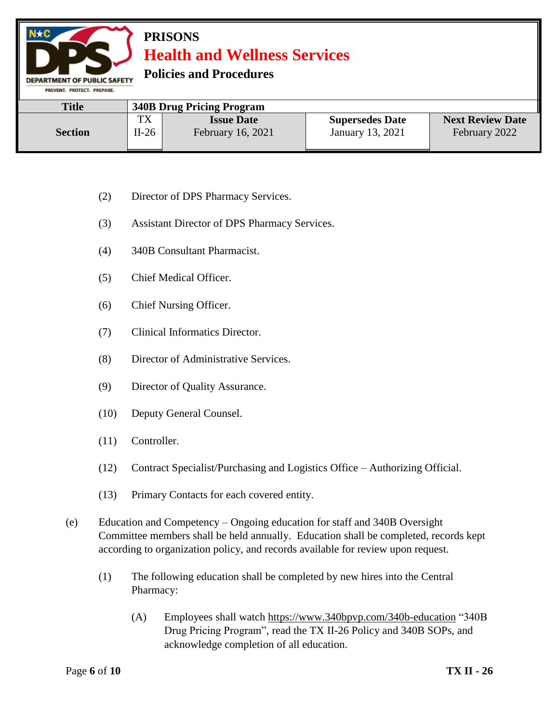**Policies and Procedures** 

| FRESENT, FRYISET, FREFARE, |         |                                  |                        |                         |
|----------------------------|---------|----------------------------------|------------------------|-------------------------|
| <b>Title</b>               |         | <b>340B Drug Pricing Program</b> |                        |                         |
|                            | тv      | <b>Issue Date</b>                | <b>Supersedes Date</b> | <b>Next Review Date</b> |
| <b>Section</b>             | $II-26$ | February 16, 2021                | January 13, 2021       | February 2022           |

- (2) Director of DPS Pharmacy Services.
- (3) Assistant Director of DPS Pharmacy Services.
- (4) 340B Consultant Pharmacist.
- (5) Chief Medical Officer.

- (6) Chief Nursing Officer.
- (7) Clinical Informatics Director.
- (8) Director of Administrative Services.
- (9) Director of Quality Assurance.
- (10) Deputy General Counsel.
- (11) Controller.
- (12) Contract Specialist/Purchasing and Logistics Office Authorizing Official.
- (13) Primary Contacts for each covered entity.
- (e) Education and Competency Ongoing education for staff and 340B Oversight Committee members shall be held annually. Education shall be completed, records kept according to organization policy, and records available for review upon request.
	- (1) The following education shall be completed by new hires into the Central Pharmacy:
		- (A) Employees shall watch<https://www.340bpvp.com/340b-education> "340B Drug Pricing Program", read the TX II-26 Policy and 340B SOPs, and acknowledge completion of all education.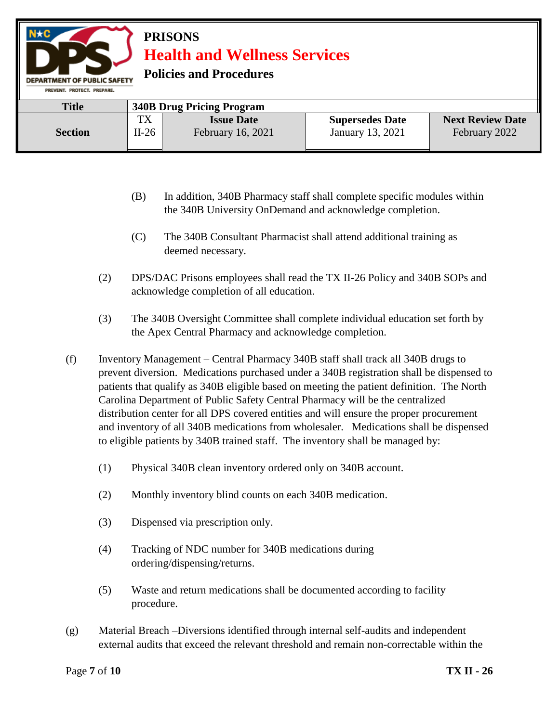**Policies and Procedures** 

| PREVENT, PROTECT, PREPARE, |       |                                  |                        |                         |
|----------------------------|-------|----------------------------------|------------------------|-------------------------|
| <b>Title</b>               |       | <b>340B Drug Pricing Program</b> |                        |                         |
|                            | TX    | <b>Issue Date</b>                | <b>Supersedes Date</b> | <b>Next Review Date</b> |
| <b>Section</b>             | II-26 | <b>February 16, 2021</b>         | January 13, 2021       | February 2022           |

- (B) In addition, 340B Pharmacy staff shall complete specific modules within the 340B University OnDemand and acknowledge completion.
- (C) The 340B Consultant Pharmacist shall attend additional training as deemed necessary.
- (2) DPS/DAC Prisons employees shall read the TX II-26 Policy and 340B SOPs and acknowledge completion of all education.
- (3) The 340B Oversight Committee shall complete individual education set forth by the Apex Central Pharmacy and acknowledge completion.
- (f) Inventory Management Central Pharmacy 340B staff shall track all 340B drugs to prevent diversion. Medications purchased under a 340B registration shall be dispensed to patients that qualify as 340B eligible based on meeting the patient definition. The North Carolina Department of Public Safety Central Pharmacy will be the centralized distribution center for all DPS covered entities and will ensure the proper procurement and inventory of all 340B medications from wholesaler. Medications shall be dispensed to eligible patients by 340B trained staff. The inventory shall be managed by:
	- (1) Physical 340B clean inventory ordered only on 340B account.
	- (2) Monthly inventory blind counts on each 340B medication.
	- (3) Dispensed via prescription only.
	- (4) Tracking of NDC number for 340B medications during ordering/dispensing/returns.
	- (5) Waste and return medications shall be documented according to facility procedure.
- (g) Material Breach –Diversions identified through internal self-audits and independent external audits that exceed the relevant threshold and remain non-correctable within the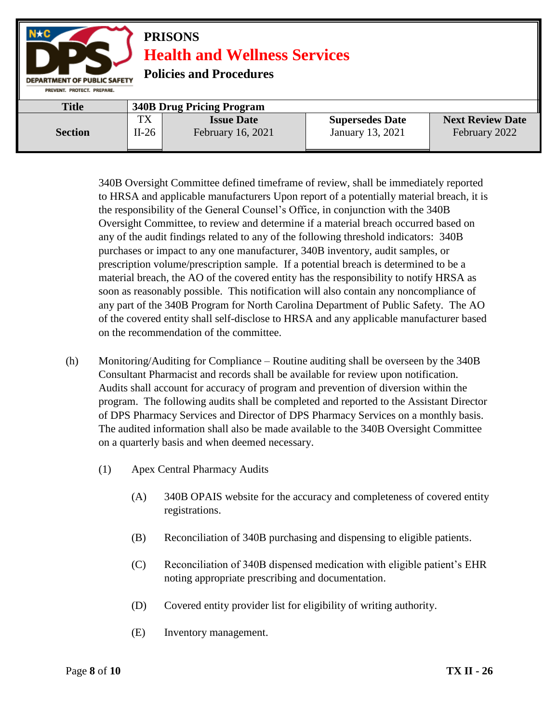

340B Oversight Committee defined timeframe of review, shall be immediately reported to HRSA and applicable manufacturers Upon report of a potentially material breach, it is the responsibility of the General Counsel's Office, in conjunction with the 340B Oversight Committee, to review and determine if a material breach occurred based on any of the audit findings related to any of the following threshold indicators: 340B purchases or impact to any one manufacturer, 340B inventory, audit samples, or prescription volume/prescription sample. If a potential breach is determined to be a material breach, the AO of the covered entity has the responsibility to notify HRSA as soon as reasonably possible. This notification will also contain any noncompliance of any part of the 340B Program for North Carolina Department of Public Safety. The AO of the covered entity shall self-disclose to HRSA and any applicable manufacturer based on the recommendation of the committee.

- (h) Monitoring/Auditing for Compliance Routine auditing shall be overseen by the 340B Consultant Pharmacist and records shall be available for review upon notification. Audits shall account for accuracy of program and prevention of diversion within the program. The following audits shall be completed and reported to the Assistant Director of DPS Pharmacy Services and Director of DPS Pharmacy Services on a monthly basis. The audited information shall also be made available to the 340B Oversight Committee on a quarterly basis and when deemed necessary.
	- (1) Apex Central Pharmacy Audits
		- (A) 340B OPAIS website for the accuracy and completeness of covered entity registrations.
		- (B) Reconciliation of 340B purchasing and dispensing to eligible patients.
		- (C) Reconciliation of 340B dispensed medication with eligible patient's EHR noting appropriate prescribing and documentation.
		- (D) Covered entity provider list for eligibility of writing authority.
		- (E) Inventory management.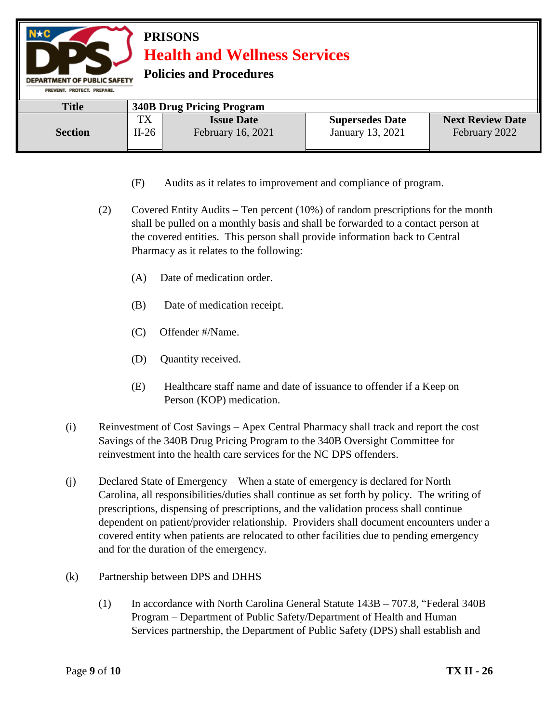#### **PRISONS Health and Wellness Services Policies and Procedures DEPARTMENT OF PUBLIC SAFETY** PREVENT. PROTECT. PREPARE. **Title 340B Drug Pricing Program** TX **Issue Date Supersedes Date Next Review Date Section** II-26 February 16, 2021 January 13, 2021 February 2022

- (F) Audits as it relates to improvement and compliance of program.
- (2) Covered Entity Audits Ten percent (10%) of random prescriptions for the month shall be pulled on a monthly basis and shall be forwarded to a contact person at the covered entities. This person shall provide information back to Central Pharmacy as it relates to the following:
	- (A) Date of medication order.
	- (B) Date of medication receipt.
	- (C) Offender #/Name.
	- (D) Quantity received.
	- (E) Healthcare staff name and date of issuance to offender if a Keep on Person (KOP) medication.
- (i) Reinvestment of Cost Savings Apex Central Pharmacy shall track and report the cost Savings of the 340B Drug Pricing Program to the 340B Oversight Committee for reinvestment into the health care services for the NC DPS offenders.
- (j) Declared State of Emergency When a state of emergency is declared for North Carolina, all responsibilities/duties shall continue as set forth by policy. The writing of prescriptions, dispensing of prescriptions, and the validation process shall continue dependent on patient/provider relationship. Providers shall document encounters under a covered entity when patients are relocated to other facilities due to pending emergency and for the duration of the emergency.
- (k) Partnership between DPS and DHHS
	- (1) In accordance with North Carolina General Statute 143B 707.8, "Federal 340B Program – Department of Public Safety/Department of Health and Human Services partnership, the Department of Public Safety (DPS) shall establish and